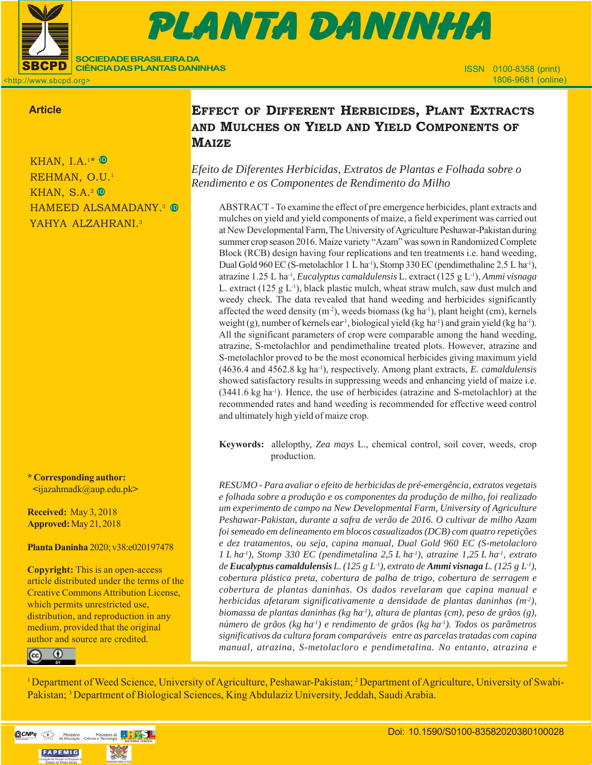

# $\blacksquare$  . I.a. et al. Effect of different herbitch and mulches on yield and  $\blacksquare$ 151103-PD-2016 (9 př. n. l.) Prova Gráfica Gráfica (9 př. n. l.) Prova Gráfica (9 př. n. l.) Prova Gráfica (9 PLANTA DANINHA

<http://www.sbcpd.org>

## **Article**

KHAN, I.A.<sup>1\*</sup>  $\mathbb{D}$ REHMAN, O.U.<sup>1</sup> KHAN, S.A.<sup>2</sup> <sup>D</sup> HAMEED ALSAMADANY.<sup>3</sup> © YAHYA ALZAHRANI.<sup>3</sup>

**SOCIEDADE BRASILEIRA DA CIÊNCIA DAS PLANTAS DANINHAS**

**\* Corresponding author: <**ijazahmadk@aup.edu.pk**>**

**Received:** May 3, 2018 **Approved:** May 21, 2018

## **Planta Daninha** 2020; v38:e020197478

**Copyright:** This is an open-access article distributed under the terms of the Creative Commons Attribution License, which permits unrestricted use, distribution, and reproduction in any medium, provided that the original author and source are credited.



## **EFFECT OF DIFFERENT HERBICIDES, PLANT EXTRACTS AND MULCHES ON YIELD AND YIELD COMPONENTS OF MAIZE**

*Efeito de Diferentes Herbicidas, Extratos de Plantas e Folhada sobre o Rendimento e os Componentes de Rendimento do Milho*

ABSTRACT - To examine the effect of pre emergence herbicides, plant extracts and mulches on yield and yield components of maize, a field experiment was carried out at New Developmental Farm, The University of Agriculture Peshawar-Pakistan during summer crop season 2016. Maize variety "Azam" was sown in Randomized Complete Block (RCB) design having four replications and ten treatments i.e. hand weeding, Dual Gold 960 EC (S-metolachlor 1 L ha<sup>-1</sup>), Stomp 330 EC (pendimethaline 2.5 L ha<sup>-1</sup>), atrazine 1.25 L ha-1, *Eucalyptus camaldulensis* L. extract (125 g L-1), *Ammi visnaga* L. extract  $(125 \text{ g L}^{-1})$ , black plastic mulch, wheat straw mulch, saw dust mulch and weedy check*.* The data revealed that hand weeding and herbicides significantly affected the weed density  $(m<sup>2</sup>)$ , weeds biomass (kg ha<sup>-1</sup>), plant height (cm), kernels weight (g), number of kernels ear<sup>1</sup>, biological yield (kg ha<sup>-1</sup>) and grain yield (kg ha<sup>-1</sup>). All the significant parameters of crop were comparable among the hand weeding, atrazine, S-metolachlor and pendimethaline treated plots. However, atrazine and S-metolachlor proved to be the most economical herbicides giving maximum yield (4636.4 and 4562.8 kg ha-1), respectively. Among plant extracts, *E. camaldulensis* showed satisfactory results in suppressing weeds and enhancing yield of maize i.e. (3441.6 kg ha-1). Hence, the use of herbicides (atrazine and S-metolachlor) at the recommended rates and hand weeding is recommended for effective weed control and ultimately high yield of maize crop.

**Keywords:** allelopthy, *Zea mays* L., chemical control, soil cover, weeds, crop production.

*RESUMO - Para avaliar o efeito de herbicidas de pré-emergência, extratos vegetais e folhada sobre a produção e os componentes da produção de milho, foi realizado um experimento de campo na New Developmental Farm, University of Agriculture Peshawar-Pakistan, durante a safra de verão de 2016. O cultivar de milho Azam foi semeado em delineamento em blocos casualizados (DCB) com quatro repetições e dez tratamentos, ou seja, capina manual, Dual Gold 960 EC (S-metolacloro 1 L ha-1), Stomp 330 EC (pendimetalina 2,5 L ha-1), atrazine 1,25 L ha-1, extrato de Eucalyptus camaldulensis L. (125 g L-1), extrato de Ammi visnaga L. (125 g L-1), cobertura plástica preta, cobertura de palha de trigo, cobertura de serragem e cobertura de plantas daninhas. Os dados revelaram que capina manual e herbicidas afetaram significativamente a densidade de plantas daninhas (m-2), biomassa de plantas daninhas (kg ha-1), altura de plantas (cm), peso de grãos (g), número de grãos (kg ha-1) e rendimento de grãos (kg ha-1). Todos os parâmetros significativos da cultura foram comparáveis entre as parcelas tratadas com capina manual, atrazina, S-metolacloro e pendimetalina. No entanto, atrazina e*

<sup>1</sup> Department of Weed Science, University of Agriculture, Peshawar-Pakistan; <sup>2</sup> Department of Agriculture, University of Swabi-Pakistan; <sup>3</sup> Department of Biological Sciences, King Abdulaziz University, Jeddah, Saudi Arabia.

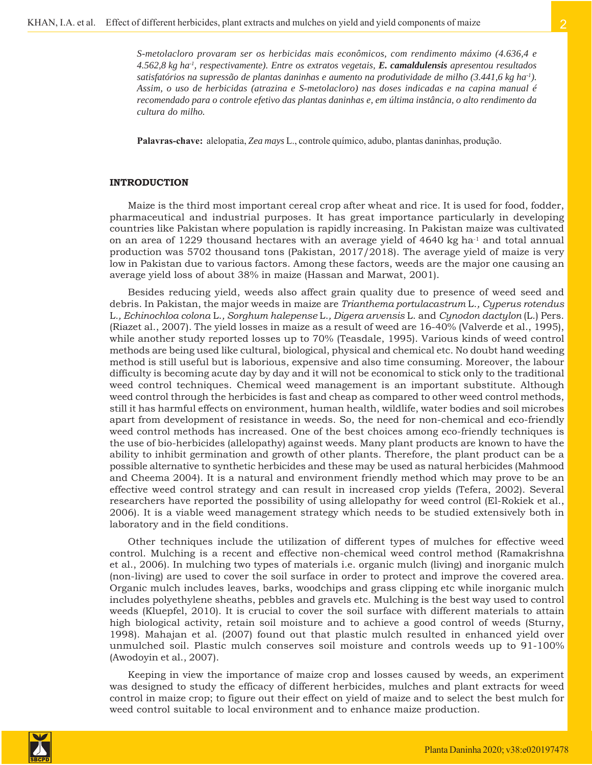*S-metolacloro provaram ser os herbicidas mais econômicos, com rendimento máximo (4.636,4 e 4.562,8 kg ha-1, respectivamente). Entre os extratos vegetais, E. camaldulensis apresentou resultados satisfatórios na supressão de plantas daninhas e aumento na produtividade de milho (3.441,6 kg ha-1). Assim, o uso de herbicidas (atrazina e S-metolacloro) nas doses indicadas e na capina manual é recomendado para o controle efetivo das plantas daninhas e, em última instância, o alto rendimento da cultura do milho.*

**Palavras-chave:** alelopatia, *Zea mays* L., controle químico, adubo, plantas daninhas, produção.

## **INTRODUCTION**

Maize is the third most important cereal crop after wheat and rice. It is used for food, fodder, pharmaceutical and industrial purposes. It has great importance particularly in developing countries like Pakistan where population is rapidly increasing. In Pakistan maize was cultivated on an area of 1229 thousand hectares with an average yield of  $4640 \text{ kg}$  ha<sup>-1</sup> and total annual production was 5702 thousand tons (Pakistan, 2017/2018). The average yield of maize is very low in Pakistan due to various factors. Among these factors, weeds are the major one causing an average yield loss of about 38% in maize (Hassan and Marwat, 2001).

Besides reducing yield, weeds also affect grain quality due to presence of weed seed and debris. In Pakistan, the major weeds in maize are *Trianthema portulacastrum* L.*, Cyperus rotendus* L*., Echinochloa colona* L.*, Sorghum halepense* L.*, Digera arvensis* L. and *Cynodon dactylon* (L.) Pers. (Riazet al., 2007)*.* The yield losses in maize as a result of weed are 16-40% (Valverde et al., 1995), while another study reported losses up to 70% (Teasdale, 1995). Various kinds of weed control methods are being used like cultural, biological, physical and chemical etc. No doubt hand weeding method is still useful but is laborious, expensive and also time consuming. Moreover, the labour difficulty is becoming acute day by day and it will not be economical to stick only to the traditional weed control techniques. Chemical weed management is an important substitute. Although weed control through the herbicides is fast and cheap as compared to other weed control methods, still it has harmful effects on environment, human health, wildlife, water bodies and soil microbes apart from development of resistance in weeds. So, the need for non-chemical and eco-friendly weed control methods has increased. One of the best choices among eco-friendly techniques is the use of bio-herbicides (allelopathy) against weeds. Many plant products are known to have the ability to inhibit germination and growth of other plants. Therefore, the plant product can be a possible alternative to synthetic herbicides and these may be used as natural herbicides (Mahmood and Cheema 2004). It is a natural and environment friendly method which may prove to be an effective weed control strategy and can result in increased crop yields (Tefera, 2002). Several researchers have reported the possibility of using allelopathy for weed control (El-Rokiek et al., 2006). It is a viable weed management strategy which needs to be studied extensively both in laboratory and in the field conditions.

Other techniques include the utilization of different types of mulches for effective weed control. Mulching is a recent and effective non-chemical weed control method (Ramakrishna et al., 2006). In mulching two types of materials i.e. organic mulch (living) and inorganic mulch (non-living) are used to cover the soil surface in order to protect and improve the covered area. Organic mulch includes leaves, barks, woodchips and grass clipping etc while inorganic mulch includes polyethylene sheaths, pebbles and gravels etc. Mulching is the best way used to control weeds (Kluepfel, 2010). It is crucial to cover the soil surface with different materials to attain high biological activity, retain soil moisture and to achieve a good control of weeds (Sturny, 1998). Mahajan et al. (2007) found out that plastic mulch resulted in enhanced yield over unmulched soil. Plastic mulch conserves soil moisture and controls weeds up to 91-100% (Awodoyin et al., 2007).

Keeping in view the importance of maize crop and losses caused by weeds, an experiment was designed to study the efficacy of different herbicides, mulches and plant extracts for weed control in maize crop; to figure out their effect on yield of maize and to select the best mulch for weed control suitable to local environment and to enhance maize production.

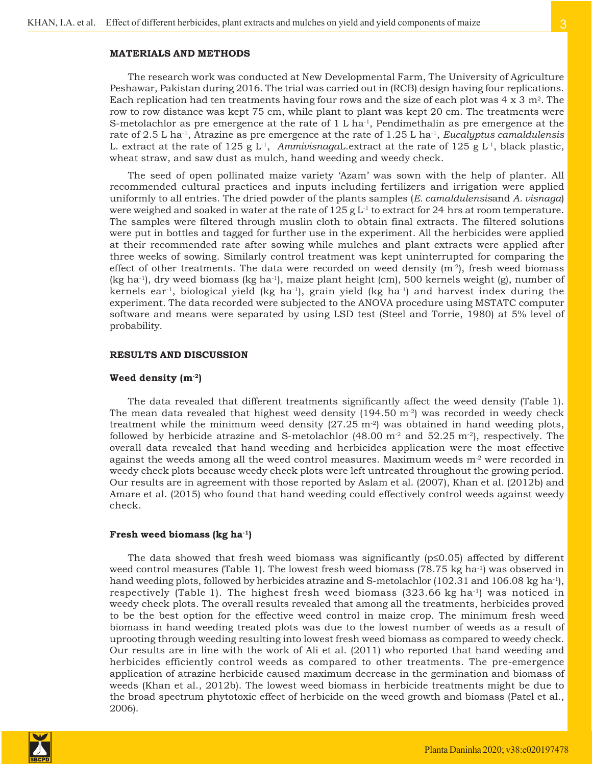The research work was conducted at New Developmental Farm, The University of Agriculture Peshawar, Pakistan during 2016. The trial was carried out in (RCB) design having four replications. Each replication had ten treatments having four rows and the size of each plot was  $4 \times 3$  m<sup>2</sup>. The row to row distance was kept 75 cm, while plant to plant was kept 20 cm. The treatments were S-metolachlor as pre emergence at the rate of  $1 L ha^{-1}$ , Pendimethalin as pre emergence at the rate of 2.5 L ha-1, Atrazine as pre emergence at the rate of 1.25 L ha-1, *Eucalyptus camaldulensis* L. extract at the rate of 125 g  $L<sup>1</sup>$ , *AmmivisnagaL.extract at the rate of 125 g L<sup>1</sup>, black plastic,* wheat straw, and saw dust as mulch, hand weeding and weedy check.

The seed of open pollinated maize variety 'Azam' was sown with the help of planter. All recommended cultural practices and inputs including fertilizers and irrigation were applied uniformly to all entries. The dried powder of the plants samples (*E. camaldulensis*and *A. visnaga*) were weighed and soaked in water at the rate of  $125 \text{ g L}^{-1}$  to extract for 24 hrs at room temperature. The samples were filtered through muslin cloth to obtain final extracts. The filtered solutions were put in bottles and tagged for further use in the experiment. All the herbicides were applied at their recommended rate after sowing while mulches and plant extracts were applied after three weeks of sowing. Similarly control treatment was kept uninterrupted for comparing the effect of other treatments. The data were recorded on weed density  $(m<sup>-2</sup>)$ , fresh weed biomass (kg ha<sup>-1</sup>), dry weed biomass (kg ha<sup>-1</sup>), maize plant height (cm), 500 kernels weight (g), number of kernels ear<sup>-1</sup>, biological yield (kg ha<sup>-1</sup>), grain yield (kg ha<sup>-1</sup>) and harvest index during the experiment. The data recorded were subjected to the ANOVA procedure using MSTATC computer software and means were separated by using LSD test (Steel and Torrie, 1980) at 5% level of probability.

#### **RESULTS AND DISCUSSION**

#### **Weed density (m-2)**

The data revealed that different treatments significantly affect the weed density (Table 1). The mean data revealed that highest weed density  $(194.50 \text{ m}^2)$  was recorded in weedy check treatment while the minimum weed density  $(27.25 \text{ m}^2)$  was obtained in hand weeding plots, followed by herbicide atrazine and S-metolachlor (48.00  $m<sup>2</sup>$  and 52.25 m<sup>-2</sup>), respectively. The overall data revealed that hand weeding and herbicides application were the most effective against the weeds among all the weed control measures. Maximum weeds  $m<sup>2</sup>$  were recorded in weedy check plots because weedy check plots were left untreated throughout the growing period. Our results are in agreement with those reported by Aslam et al. (2007), Khan et al. (2012b) and Amare et al. (2015) who found that hand weeding could effectively control weeds against weedy check.

#### **Fresh weed biomass (kg ha-1)**

The data showed that fresh weed biomass was significantly ( $p \leq 0.05$ ) affected by different weed control measures (Table 1). The lowest fresh weed biomass  $(78.75 \text{ kg ha}^{-1})$  was observed in hand weeding plots, followed by herbicides atrazine and S-metolachlor (102.31 and 106.08 kg ha<sup>-1</sup>), respectively (Table 1). The highest fresh weed biomass  $(323.66 \text{ kg ha}^{-1})$  was noticed in weedy check plots. The overall results revealed that among all the treatments, herbicides proved to be the best option for the effective weed control in maize crop. The minimum fresh weed biomass in hand weeding treated plots was due to the lowest number of weeds as a result of uprooting through weeding resulting into lowest fresh weed biomass as compared to weedy check. Our results are in line with the work of Ali et al. (2011) who reported that hand weeding and herbicides efficiently control weeds as compared to other treatments. The pre-emergence application of atrazine herbicide caused maximum decrease in the germination and biomass of weeds (Khan et al., 2012b). The lowest weed biomass in herbicide treatments might be due to the broad spectrum phytotoxic effect of herbicide on the weed growth and biomass (Patel et al., 2006).

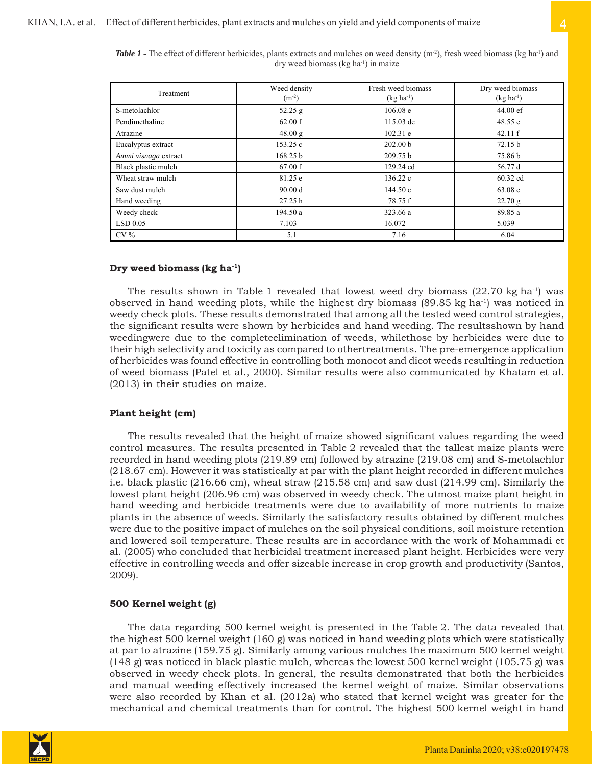| Table 1 - The effect of different herbicides, plants extracts and mulches on weed density (m <sup>-2</sup> ), fresh weed biomass (kg ha <sup>-1</sup> ) and |  |
|-------------------------------------------------------------------------------------------------------------------------------------------------------------|--|
| $\frac{1}{2}$ dry weed biomass (kg ha <sup>-1</sup> ) in maize                                                                                              |  |

| Treatment            | Weed density<br>$(m^{-2})$ | Fresh weed biomass<br>$(kg ha^{-1})$ | Dry weed biomass<br>$(kg ha-1)$ |
|----------------------|----------------------------|--------------------------------------|---------------------------------|
| S-metolachlor        | 52.25 g                    | 106.08 e                             | $44.00 \text{ e}f$              |
| Pendimethaline       | 62.00 f                    | 115.03 de                            | 48.55 e                         |
| Atrazine             | 48.00 g                    | 102.31 e                             | 42.11 f                         |
| Eucalyptus extract   | 153.25c                    | 202.00 <sub>b</sub>                  | 72.15 b                         |
| Ammi visnaga extract | 168.25 b                   | 209.75 b                             | 75.86 b                         |
| Black plastic mulch  | 67.00 f                    | 129.24 cd                            | 56.77 d                         |
| Wheat straw mulch    | 81.25 e                    | 136.22c                              | 60.32 cd                        |
| Saw dust mulch       | 90.00 d                    | 144.50c                              | 63.08c                          |
| Hand weeding         | 27.25 h                    | 78.75 f                              | 22.70 g                         |
| Weedy check          | 194.50a                    | 323.66 a                             | 89.85 a                         |
| $LSD$ 0.05           | 7.103                      | 16.072                               | 5.039                           |
| $CV\%$               | 5.1                        | 7.16                                 | 6.04                            |

## **Dry weed biomass (kg ha-1)**

The results shown in Table 1 revealed that lowest weed dry biomass  $(22.70 \text{ kg ha}^{-1})$  was observed in hand weeding plots, while the highest dry biomass (89.85 kg ha-1) was noticed in weedy check plots. These results demonstrated that among all the tested weed control strategies, the significant results were shown by herbicides and hand weeding. The resultsshown by hand weedingwere due to the completeelimination of weeds, whilethose by herbicides were due to their high selectivity and toxicity as compared to othertreatments. The pre-emergence application of herbicides was found effective in controlling both monocot and dicot weeds resulting in reduction of weed biomass (Patel et al., 2000). Similar results were also communicated by Khatam et al. (2013) in their studies on maize.

## **Plant height (cm)**

The results revealed that the height of maize showed significant values regarding the weed control measures. The results presented in Table 2 revealed that the tallest maize plants were recorded in hand weeding plots (219.89 cm) followed by atrazine (219.08 cm) and S-metolachlor (218.67 cm). However it was statistically at par with the plant height recorded in different mulches i.e. black plastic (216.66 cm), wheat straw (215.58 cm) and saw dust (214.99 cm). Similarly the lowest plant height (206.96 cm) was observed in weedy check. The utmost maize plant height in hand weeding and herbicide treatments were due to availability of more nutrients to maize plants in the absence of weeds. Similarly the satisfactory results obtained by different mulches were due to the positive impact of mulches on the soil physical conditions, soil moisture retention and lowered soil temperature. These results are in accordance with the work of Mohammadi et al. (2005) who concluded that herbicidal treatment increased plant height. Herbicides were very effective in controlling weeds and offer sizeable increase in crop growth and productivity (Santos, 2009).

## **500 Kernel weight (g)**

The data regarding 500 kernel weight is presented in the Table 2. The data revealed that the highest 500 kernel weight (160 g) was noticed in hand weeding plots which were statistically at par to atrazine (159.75 g). Similarly among various mulches the maximum 500 kernel weight (148 g) was noticed in black plastic mulch, whereas the lowest 500 kernel weight (105.75 g) was observed in weedy check plots. In general, the results demonstrated that both the herbicides and manual weeding effectively increased the kernel weight of maize. Similar observations were also recorded by Khan et al. (2012a) who stated that kernel weight was greater for the mechanical and chemical treatments than for control. The highest 500 kernel weight in hand

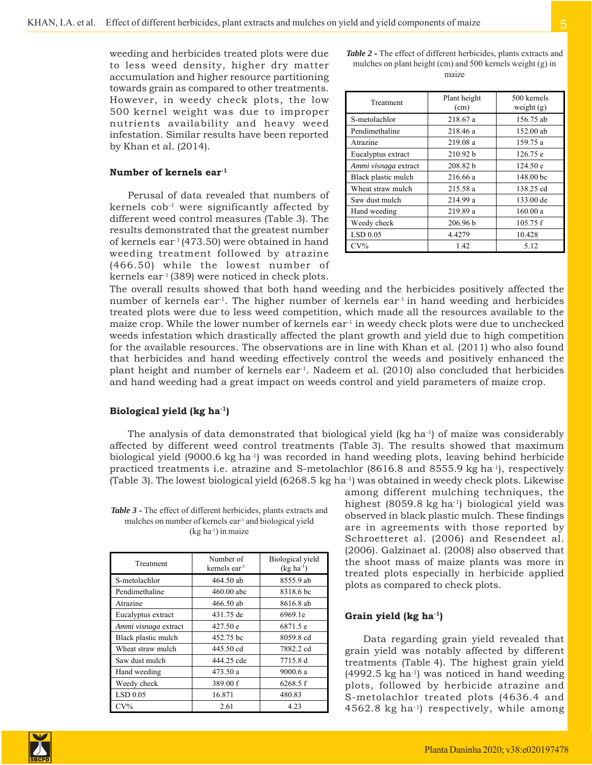weeding and herbicides treated plots were due to less weed density, higher dry matter accumulation and higher resource partitioning towards grain as compared to other treatments. However, in weedy check plots, the low 500 kernel weight was due to improper nutrients availability and heavy weed infestation. Similar results have been reported by Khan et al. (2014).

#### **Number of kernels ear-1**

Perusal of data revealed that numbers of kernels  $\cosh^{-1}$  were significantly affected by different weed control measures (Table 3). The results demonstrated that the greatest number of kernels ear<sup>1</sup> (473.50) were obtained in hand weeding treatment followed by atrazine (466.50) while the lowest number of kernels ear-1 (389) were noticed in check plots.

*Table 2* **-** The effect of different herbicides, plants extracts and mulches on plant height (cm) and 500 kernels weight (g) in maize

| Treatment            | Plant height<br>(cm) | 500 kernels<br>weight $(g)$ |
|----------------------|----------------------|-----------------------------|
| S-metolachlor        | 218.67 a             | 156.75 ab                   |
| Pendimethaline       | 218.46 a             | 152.00 ab                   |
| Atrazine             | 219.08 a             | 159.75 a                    |
| Eucalyptus extract   | 210.92 b             | 126.75 e                    |
| Ammi visnaga extract | 208.82 b             | 124.50 e                    |
| Black plastic mulch  | 216.66 a             | 148.00 bc                   |
| Wheat straw mulch    | 215.58 a             | 138.25 cd                   |
| Saw dust mulch       | 214.99 a             | 133.00 de                   |
| Hand weeding         | 219.89 a             | 160.00a                     |
| Weedy check          | 206.96 b             | 105.75 f                    |
| $LSD$ 0.05           | 4.4279               | 10.428                      |
| $CV\%$               | 1.42                 | 5.12                        |

The overall results showed that both hand weeding and the herbicides positively affected the number of kernels ear<sup>1</sup>. The higher number of kernels ear<sup>1</sup> in hand weeding and herbicides treated plots were due to less weed competition, which made all the resources available to the maize crop. While the lower number of kernels ear<sup>1</sup> in weedy check plots were due to unchecked weeds infestation which drastically affected the plant growth and yield due to high competition for the available resources. The observations are in line with Khan et al. (2011) who also found that herbicides and hand weeding effectively control the weeds and positively enhanced the plant height and number of kernels  $ear<sup>1</sup>$ . Nadeem et al. (2010) also concluded that herbicides and hand weeding had a great impact on weeds control and yield parameters of maize crop.

#### **Biological yield (kg ha-1)**

The analysis of data demonstrated that biological yield  $(kg ha^{-1})$  of maize was considerably affected by different weed control treatments (Table 3). The results showed that maximum biological yield (9000.6 kg ha-1) was recorded in hand weeding plots, leaving behind herbicide practiced treatments i.e. atrazine and S-metolachlor (8616.8 and 8555.9 kg ha-1), respectively (Table 3). The lowest biological yield (6268.5 kg ha<sup>-1</sup>) was obtained in weedy check plots. Likewise

*Table 3* **-** The effect of different herbicides, plants extracts and mulches on number of kernels ear-1 and biological yield (kg ha-1) in maize

| Treatment            | Number of<br>kernels ear $^{-1}$ | Biological yield<br>$(kg ha-1)$ |
|----------------------|----------------------------------|---------------------------------|
| S-metolachlor        | $464.50$ ab                      | 8555.9 ab                       |
| Pendimethaline       | $460.00$ abc                     | 8318.6 bc                       |
| Atrazine             | 466.50 ab                        | 8616.8 ab                       |
| Eucalyptus extract   | 431.75 de                        | 6969.1e                         |
| Ammi visnaga extract | 427.50 e                         | 6871.5 e                        |
| Black plastic mulch  | 452.75 bc                        | 8059.8 cd                       |
| Wheat straw mulch    | 445.50 cd                        | 7882.2 cd                       |
| Saw dust mulch       | 444.25 cde                       | 7715.8 d                        |
| Hand weeding         | 473.50 a                         | 9000.6 a                        |
| Weedy check          | 389.00 f                         | 6268.5f                         |
| $LSD$ 0.05           | 16.871                           | 480.83                          |
| $CV\%$               | 2.61                             | 4.23                            |

among different mulching techniques, the highest (8059.8 kg ha<sup>-1</sup>) biological yield was observed in black plastic mulch. These findings are in agreements with those reported by Schroetteret al. (2006) and Resendeet al. (2006). Galzinaet al. (2008) also observed that the shoot mass of maize plants was more in treated plots especially in herbicide applied plots as compared to check plots.

## **Grain yield (kg ha-1)**

Data regarding grain yield revealed that grain yield was notably affected by different treatments (Table 4). The highest grain yield  $(4992.5 \text{ kg ha}^{-1})$  was noticed in hand weeding plots, followed by herbicide atrazine and S-metolachlor treated plots (4636.4 and  $4562.8$  kg ha<sup>-1</sup>) respectively, while among

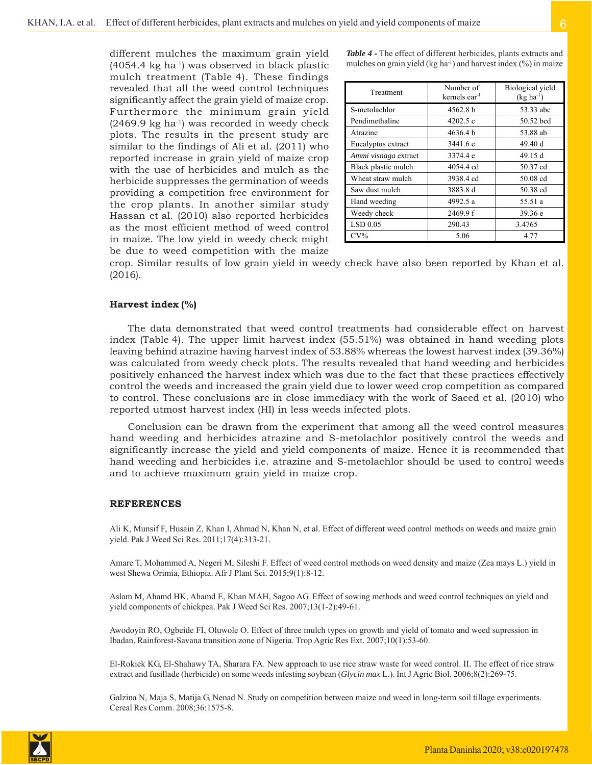different mulches the maximum grain yield  $(4054.4 \text{ kg} \text{ ha}^{-1})$  was observed in black plastic mulch treatment (Table 4). These findings revealed that all the weed control techniques significantly affect the grain yield of maize crop. Furthermore the minimum grain yield  $(2469.9 \text{ kg} \text{ ha}^{-1})$  was recorded in weedy check plots. The results in the present study are similar to the findings of Ali et al. (2011) who reported increase in grain yield of maize crop with the use of herbicides and mulch as the herbicide suppresses the germination of weeds providing a competition free environment for the crop plants. In another similar study Hassan et al. (2010) also reported herbicides as the most efficient method of weed control in maize. The low yield in weedy check might be due to weed competition with the maize

*Table 4* **-** The effect of different herbicides, plants extracts and mulches on grain yield (kg ha<sup>-1</sup>) and harvest index  $(\%)$  in maize

| Treatment            | Number of<br>kernels ear $1$ | Biological yield<br>$(kg ha^{-1})$ |
|----------------------|------------------------------|------------------------------------|
| S-metolachlor        | 4562.8 b                     | 53.33 abc                          |
| Pendimethaline       | 4202.5c                      | 50.52 bcd                          |
| Atrazine             | 4636.4 b                     | 53.88 ab                           |
| Eucalyptus extract   | 3441.6 e                     | 49.40 d                            |
| Ammi visnaga extract | 3374.4 e                     | 49.15 d                            |
| Black plastic mulch  | 4054.4 cd                    | 50.37 cd                           |
| Wheat straw mulch    | 3938.4 cd                    | 50.08 cd                           |
| Saw dust mulch       | 3883.8 d                     | 50.38 cd                           |
| Hand weeding         | 4992.5 a                     | 55.51 a                            |
| Weedy check          | 2469.9 f                     | 39.36 e                            |
| $LSD$ 0.05           | 290.43                       | 3.4765                             |
| $CV\%$               | 5.06                         | 4.77                               |

crop. Similar results of low grain yield in weedy check have also been reported by Khan et al. (2016).

#### **Harvest index (%)**

The data demonstrated that weed control treatments had considerable effect on harvest index (Table 4). The upper limit harvest index (55.51%) was obtained in hand weeding plots leaving behind atrazine having harvest index of 53.88% whereas the lowest harvest index (39.36%) was calculated from weedy check plots. The results revealed that hand weeding and herbicides positively enhanced the harvest index which was due to the fact that these practices effectively control the weeds and increased the grain yield due to lower weed crop competition as compared to control. These conclusions are in close immediacy with the work of Saeed et al. (2010) who reported utmost harvest index (HI) in less weeds infected plots.

Conclusion can be drawn from the experiment that among all the weed control measures hand weeding and herbicides atrazine and S-metolachlor positively control the weeds and significantly increase the yield and yield components of maize. Hence it is recommended that hand weeding and herbicides i.e. atrazine and S-metolachlor should be used to control weeds and to achieve maximum grain yield in maize crop.

#### **REFERENCES**

Ali K, Munsif F, Husain Z, Khan I, Ahmad N, Khan N, et al. Effect of different weed control methods on weeds and maize grain yield. Pak J Weed Sci Res. 2011;17(4):313-21.

Amare T, Mohammed A, Negeri M, Sileshi F. Effect of weed control methods on weed density and maize (Zea mays L.) yield in west Shewa Orimia, Ethiopia. Afr J Plant Sci. 2015;9(1):8-12.

Aslam M, Ahamd HK, Ahamd E, Khan MAH, Sagoo AG. Effect of sowing methods and weed control techniques on yield and yield components of chickpea. Pak J Weed Sci Res. 2007;13(1-2):49-61.

Awodoyin RO, Ogbeide FI, Oluwole O. Effect of three mulch types on growth and yield of tomato and weed supression in Ibadan, Rainforest-Savana transition zone of Nigeria. Trop Agric Res Ext. 2007;10(1):53-60.

El-Rokiek KG, El-Shahawy TA, Sharara FA. New approach to use rice straw waste for weed control. II. The effect of rice straw extract and fusillade (herbicide) on some weeds infesting soybean (*Glycin max* L.). Int J Agric Biol. 2006;8(2):269-75.

Galzina N, Maja S, Matija G, Nenad N. Study on competition between maize and weed in long-term soil tillage experiments. Cereal Res Comm. 2008;36:1575-8.

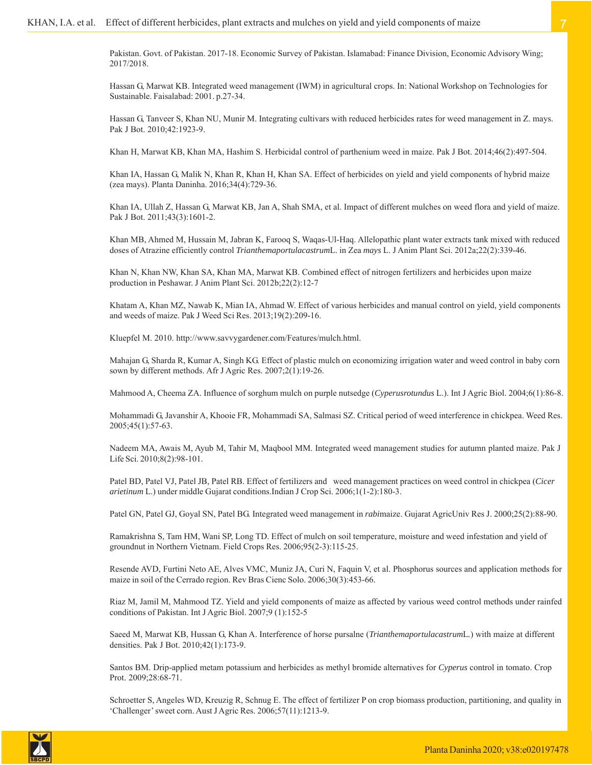Pakistan. Govt. of Pakistan. 2017-18. Economic Survey of Pakistan. Islamabad: Finance Division, Economic Advisory Wing; 2017/2018.

Hassan G, Marwat KB. Integrated weed management (IWM) in agricultural crops. In: National Workshop on Technologies for Sustainable. Faisalabad: 2001. p.27-34.

Hassan G, Tanveer S, Khan NU, Munir M. Integrating cultivars with reduced herbicides rates for weed management in Z. mays. Pak J Bot. 2010;42:1923-9.

Khan H, Marwat KB, Khan MA, Hashim S. Herbicidal control of parthenium weed in maize. Pak J Bot. 2014;46(2):497-504.

Khan IA, Hassan G, Malik N, Khan R, Khan H, Khan SA. Effect of herbicides on yield and yield components of hybrid maize (zea mays). Planta Daninha. 2016;34(4):729-36.

Khan IA, Ullah Z, Hassan G, Marwat KB, Jan A, Shah SMA, et al. Impact of different mulches on weed flora and yield of maize. Pak J Bot. 2011;43(3):1601-2.

Khan MB, Ahmed M, Hussain M, Jabran K, Farooq S, Waqas-Ul-Haq. Allelopathic plant water extracts tank mixed with reduced doses of Atrazine efficiently control *Trianthemaportulacastrum*L. in Zea *mays* L. J Anim Plant Sci. 2012a;22(2):339-46.

Khan N, Khan NW, Khan SA, Khan MA, Marwat KB. Combined effect of nitrogen fertilizers and herbicides upon maize production in Peshawar. J Anim Plant Sci. 2012b;22(2):12-7

Khatam A, Khan MZ, Nawab K, Mian IA, Ahmad W. Effect of various herbicides and manual control on yield, yield components and weeds of maize. Pak J Weed Sci Res. 2013;19(2):209-16.

Kluepfel M. 2010. http://www.savvygardener.com/Features/mulch.html.

Mahajan G, Sharda R, Kumar A, Singh KG. Effect of plastic mulch on economizing irrigation water and weed control in baby corn sown by different methods. Afr J Agric Res. 2007;2(1):19-26.

Mahmood A, Cheema ZA. Influence of sorghum mulch on purple nutsedge (*Cyperusrotundus* L.). Int J Agric Biol. 2004;6(1):86-8.

Mohammadi G, Javanshir A, Khooie FR, Mohammadi SA, Salmasi SZ. Critical period of weed interference in chickpea. Weed Res. 2005;45(1):57-63.

Nadeem MA, Awais M, Ayub M, Tahir M, Maqbool MM. Integrated weed management studies for autumn planted maize. Pak J Life Sci. 2010;8(2):98-101.

Patel BD, Patel VJ, Patel JB, Patel RB. Effect of fertilizers and weed management practices on weed control in chickpea (*Cicer arietinum* L.) under middle Gujarat conditions.Indian J Crop Sci. 2006;1(1-2):180-3.

Patel GN, Patel GJ, Goyal SN, Patel BG. Integrated weed management in *rabi*maize. Gujarat AgricUniv Res J. 2000;25(2):88-90.

Ramakrishna S, Tam HM, Wani SP, Long TD. Effect of mulch on soil temperature, moisture and weed infestation and yield of groundnut in Northern Vietnam. Field Crops Res. 2006;95(2-3):115-25.

Resende AVD, Furtini Neto AE, Alves VMC, Muniz JA, Curi N, Faquin V, et al. Phosphorus sources and application methods for maize in soil of the Cerrado region. Rev Bras Cienc Solo. 2006;30(3):453-66.

Riaz M, Jamil M, Mahmood TZ. Yield and yield components of maize as affected by various weed control methods under rainfed conditions of Pakistan. Int J Agric Biol. 2007;9 (1):152-5

Saeed M, Marwat KB, Hussan G, Khan A. Interference of horse pursalne (*Trianthemaportulacastrum*L*.*) with maize at different densities. Pak J Bot. 2010;42(1):173-9.

Santos BM. Drip-applied metam potassium and herbicides as methyl bromide alternatives for *Cyperus* control in tomato. Crop Prot. 2009;28:68-71.

Schroetter S, Angeles WD, Kreuzig R, Schnug E. The effect of fertilizer P on crop biomass production, partitioning, and quality in 'Challenger' sweet corn. Aust J Agric Res. 2006;57(11):1213-9.